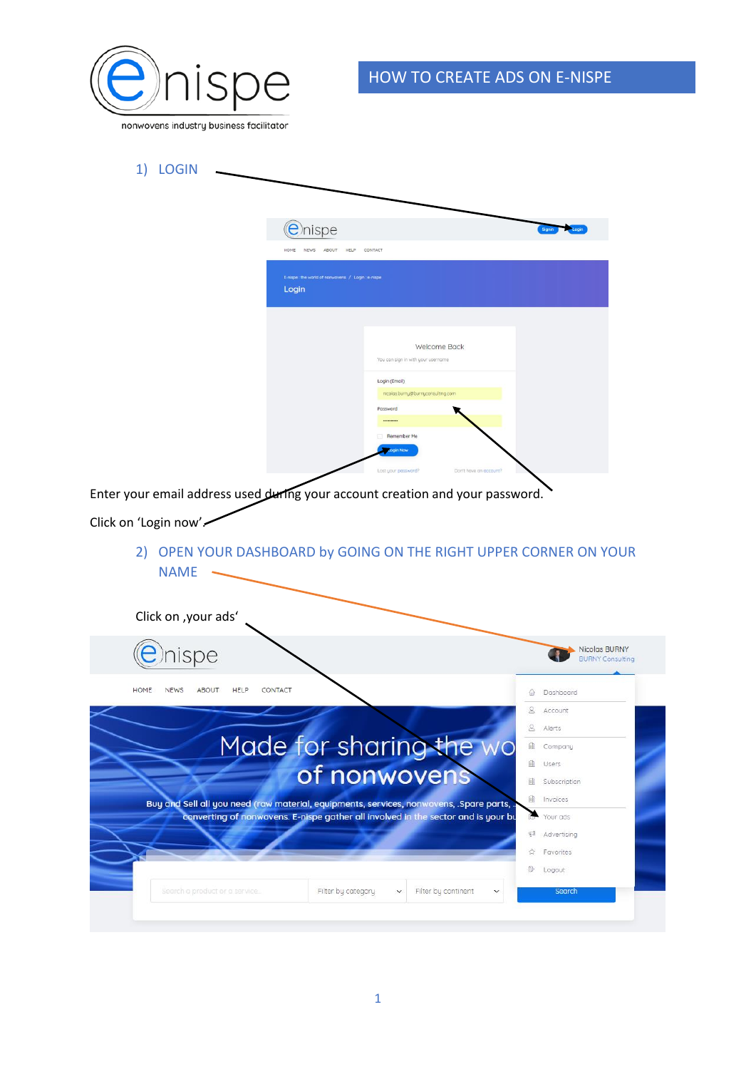

| 1)<br><b>LOGIN</b>                                                                                     |                                                             |                                                                                                                                                     |                                                                   |
|--------------------------------------------------------------------------------------------------------|-------------------------------------------------------------|-----------------------------------------------------------------------------------------------------------------------------------------------------|-------------------------------------------------------------------|
|                                                                                                        |                                                             |                                                                                                                                                     |                                                                   |
|                                                                                                        | <b>e</b> hispe                                              |                                                                                                                                                     |                                                                   |
|                                                                                                        | NEWS ABOUT HELP CONTACT<br>HOME                             |                                                                                                                                                     |                                                                   |
|                                                                                                        | E-nispe : the world of nonwovens / Login : e-nispe<br>Login |                                                                                                                                                     |                                                                   |
|                                                                                                        |                                                             | Welcome Back<br>You can sign in with your username<br>Login (Email)<br>nicolas.burny@burnyconsulting.com<br>Password<br><br>Remember Me<br>ogin Now |                                                                   |
| Enter your email address used during your account creation and your password.<br>Click on 'Login now'. |                                                             | Don't have an account?<br>Lost your password?                                                                                                       |                                                                   |
| <b>NAME</b>                                                                                            |                                                             |                                                                                                                                                     | 2) OPEN YOUR DASHBOARD by GOING ON THE RIGHT UPPER CORNER ON YOUR |
| Click on , your ads'                                                                                   |                                                             |                                                                                                                                                     |                                                                   |
| ispe                                                                                                   |                                                             |                                                                                                                                                     | Nicolas BURNY<br><b>BURNY Consulting</b>                          |
| HOME<br><b>NEWS</b><br><b>ABOUT</b><br>HELP                                                            | CONTACT                                                     |                                                                                                                                                     |                                                                   |
|                                                                                                        |                                                             |                                                                                                                                                     | Dashboard<br>倫<br>8<br>Account                                    |
|                                                                                                        |                                                             |                                                                                                                                                     | Alerts<br>8                                                       |
|                                                                                                        |                                                             | Made for sharing the wo                                                                                                                             | 重<br>Company                                                      |
|                                                                                                        |                                                             |                                                                                                                                                     | 面<br>Users                                                        |
|                                                                                                        |                                                             | of nonwovens                                                                                                                                        | 面<br>Subscription                                                 |
| Buy and Sell all you need (raw material, equipments, services, nonwovens, .Spare parts,                |                                                             |                                                                                                                                                     | 血<br>Invoices                                                     |
|                                                                                                        |                                                             | converting of nonwovens. E-nispe gather all involved in the sector and is your bu                                                                   | r.<br>Your ads                                                    |
|                                                                                                        |                                                             |                                                                                                                                                     |                                                                   |
|                                                                                                        |                                                             |                                                                                                                                                     | 安里<br>Advertising                                                 |
|                                                                                                        |                                                             |                                                                                                                                                     | Favorites<br>ŵ                                                    |
| Search a product or a service.                                                                         | Filter by category                                          | Filter by continent<br>$\checkmark$                                                                                                                 | œ<br>Logout<br>Search                                             |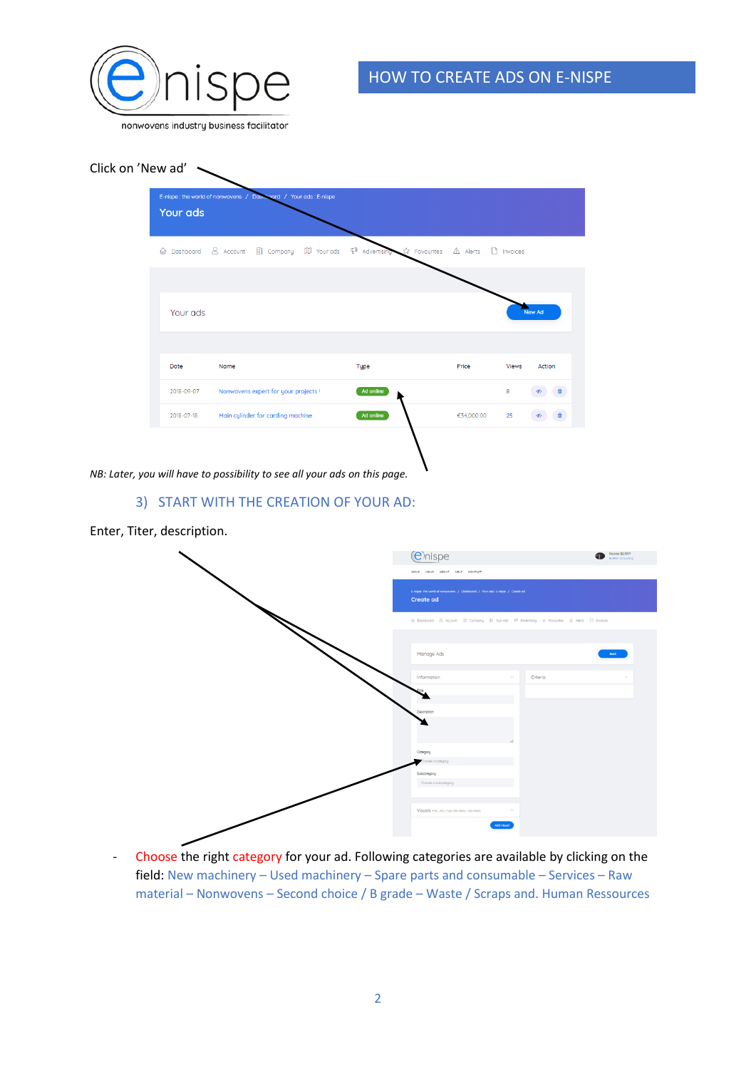

Click on 'New ad'



*NB: Later, you will have to possibility to see all your ads on this page.*

#### 3) START WITH THE CREATION OF YOUR AD:





- Choose the right category for your ad. Following categories are available by clicking on the field: New machinery – Used machinery – Spare parts and consumable – Services – Raw material – Nonwovens – Second choice / B grade – Waste / Scraps and. Human Ressources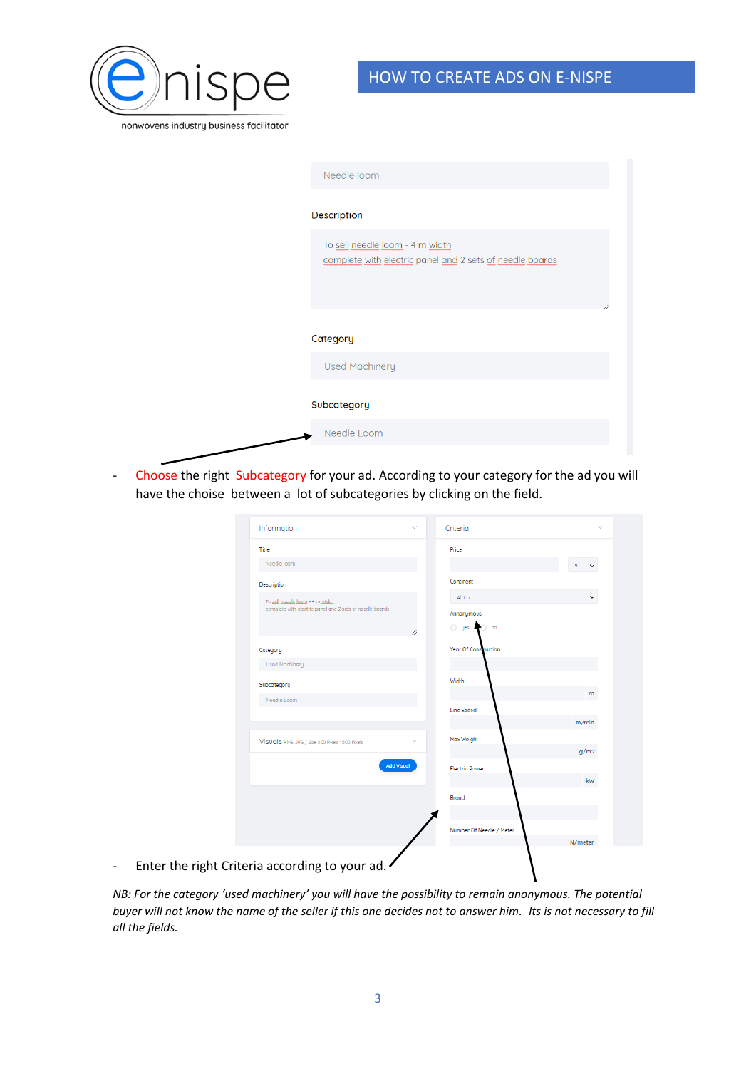

| Needle loom                                                                                 |
|---------------------------------------------------------------------------------------------|
| <b>Description</b>                                                                          |
| To sell needle loom - 4 m width<br>complete with electric panel and 2 sets of needle boards |
|                                                                                             |
| Category                                                                                    |
| <b>Used Machinery</b>                                                                       |
| Subcategory                                                                                 |
| Needle Loom                                                                                 |
|                                                                                             |

- Choose the right Subcategory for your ad. According to your category for the ad you will have the choise between a lot of subcategories by clicking on the field.

|                          | Information<br>$\sim$                                     | Criteria                    | $\checkmark$ |
|--------------------------|-----------------------------------------------------------|-----------------------------|--------------|
|                          | Title                                                     | Price                       |              |
|                          | Needle loom                                               |                             | €<br>v       |
|                          | Description                                               | Continent                   |              |
|                          | To sell needle loom - 4 m width                           | Africa                      | v            |
|                          | complete with electric panel and 2 sets of needle boards  | Annonymous                  |              |
|                          |                                                           | O yes and<br>n <sub>o</sub> |              |
|                          | Category                                                  | Year Of Construction        |              |
|                          | <b>Used Mochinery</b>                                     |                             |              |
|                          | Subcategory                                               | Width                       |              |
|                          | Needle Loom                                               | <b>Line Speed</b>           | m            |
|                          |                                                           |                             | m/min        |
|                          | $\sim$<br>Visuals PNG, JPG / Stze 500 Ptxels * 500 Ptxels | Max Weight                  |              |
|                          |                                                           |                             | g/m2         |
|                          | <b>Add Visual</b>                                         | <b>Electric Power</b>       |              |
|                          |                                                           |                             | kw           |
|                          |                                                           | Brand                       |              |
|                          |                                                           |                             |              |
|                          |                                                           | Number Of Needle / Meter    | N/meter      |
|                          |                                                           |                             |              |
| $\overline{\phantom{a}}$ | Enter the right Criteria according to your ad.            |                             |              |
|                          |                                                           |                             |              |

*NB: For the category 'used machinery' you will have the possibility to remain anonymous. The potential buyer will not know the name of the seller if this one decides not to answer him. Its is not necessary to fill all the fields.*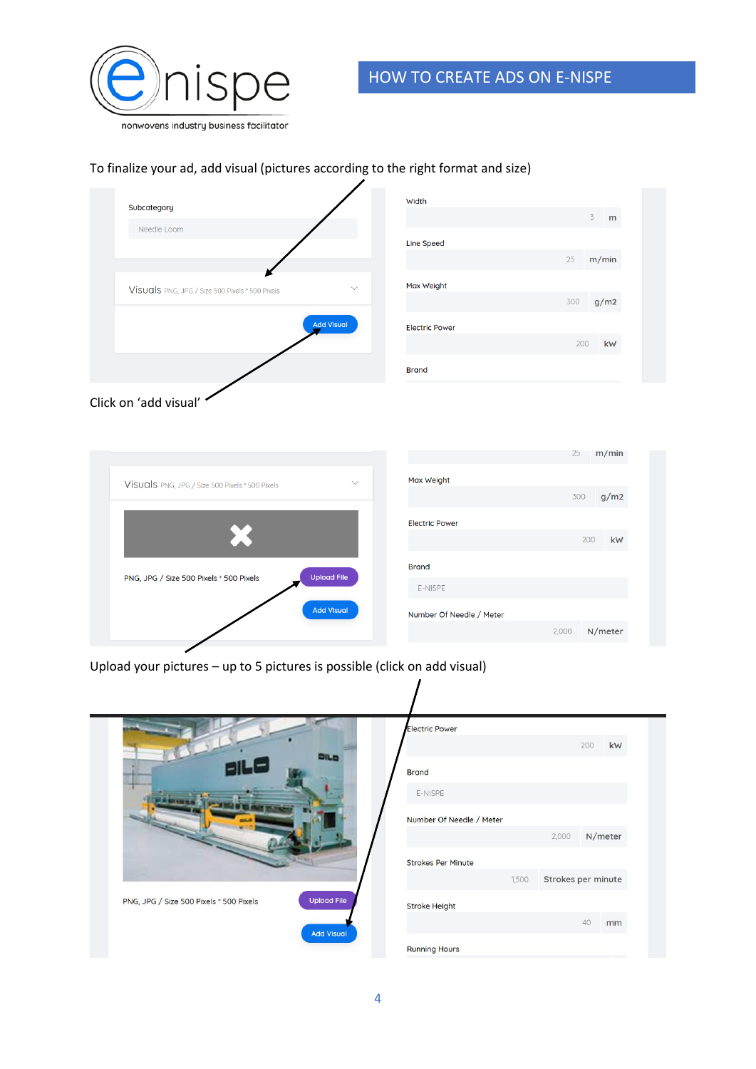

# HOW TO CREATE ADS ON E-NISPE

 $m/min$ 

 $g/m2$ 

 $kW$ 

N/meter

 $25$ 

300

200

## To finalize your ad, add visual (pictures according to the right format and size)

| Subcategory                                     |                   | Width                 |                     |
|-------------------------------------------------|-------------------|-----------------------|---------------------|
| Needle Loom                                     |                   |                       | 3 <sup>7</sup><br>m |
|                                                 |                   | <b>Line Speed</b>     |                     |
|                                                 |                   |                       | m/min<br>25         |
| Visuals PNG, JPG / Size 500 Pixels * 500 Pixels | $\checkmark$      | Max Weight            |                     |
|                                                 |                   |                       | g/m2<br>300         |
|                                                 | <b>Add Visual</b> | <b>Electric Power</b> |                     |
|                                                 |                   |                       | 200<br>kW           |
|                                                 |                   | <b>Brand</b>          |                     |
|                                                 |                   |                       |                     |



| Visuals PNG, JPG / Size 500 Pixels * 500 Pixels | $\checkmark$       | Max Weight               |      |
|-------------------------------------------------|--------------------|--------------------------|------|
|                                                 |                    |                          |      |
|                                                 |                    | <b>Electric Power</b>    |      |
| ۰. (                                            |                    |                          |      |
|                                                 |                    | <b>Brand</b>             |      |
| PNG, JPG / Size 500 Pixels * 500 Pixels         | <b>Upload File</b> | E-NISPE                  |      |
|                                                 | <b>Add Visual</b>  | Number Of Needle / Meter |      |
|                                                 |                    |                          | 2,00 |
|                                                 |                    |                          |      |

Upload your pictures – up to 5 pictures is possible (click on add visual)

|                                                               | <b>Electric Power</b><br>kW<br>200                  |
|---------------------------------------------------------------|-----------------------------------------------------|
| 15.0                                                          | <b>Brand</b><br>E-NISPE                             |
|                                                               | Number Of Needle / Meter<br>N/meter<br>2,000        |
|                                                               | <b>Strokes Per Minute</b>                           |
| <b>Upload File</b><br>PNG, JPG / Size 500 Pixels * 500 Pixels | Strokes per minute<br>1,500<br><b>Stroke Height</b> |
| <b>Add Visual</b>                                             | 40<br>mm<br><b>Running Hours</b>                    |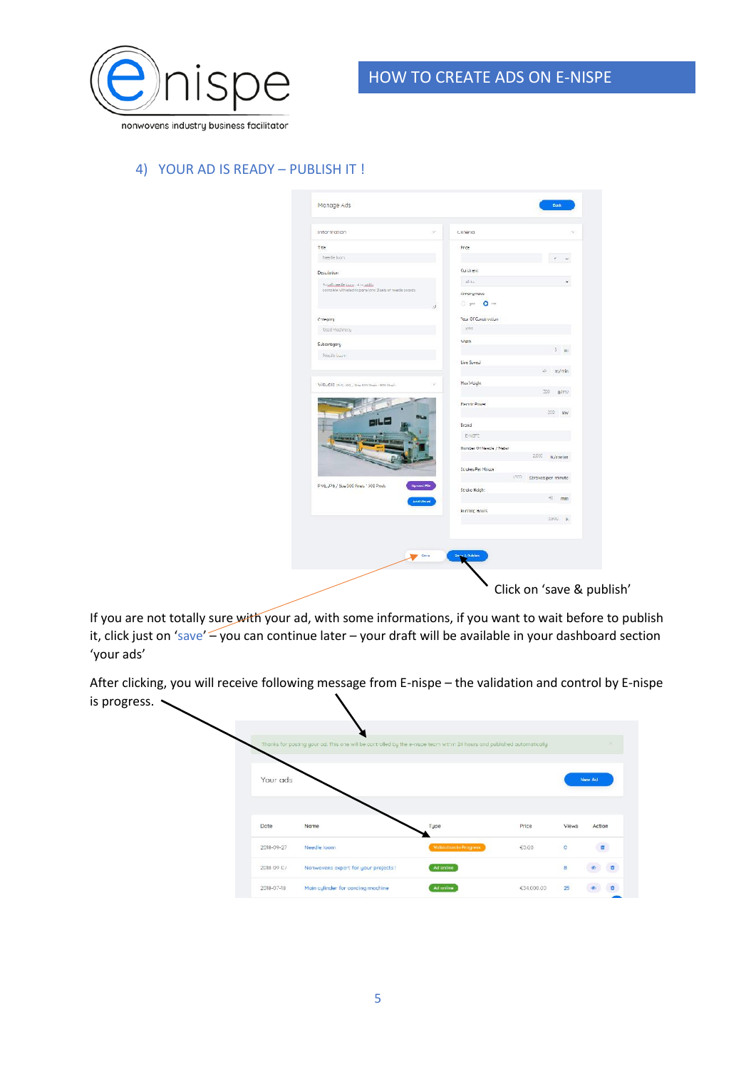

### 4) YOUR AD IS READY – PUBLISH IT !

| Intormation                                                  | ×<br>Critena                                            |
|--------------------------------------------------------------|---------------------------------------------------------|
| Ttle                                                         | Price                                                   |
| Needle loom                                                  |                                                         |
| <b>Description</b>                                           | Continent                                               |
| to adjustedly same of to addition                            | Africa                                                  |
| complete with electric panetanic 2 sets of needle pocriti-   | Annonymous                                              |
|                                                              | 0 um 0 m<br>á                                           |
| Conegong                                                     | Year Of Construction                                    |
| Used Machinery                                               | <b>ICOS</b>                                             |
| Subcategory                                                  | Width                                                   |
| Needle Loury                                                 | $3 \text{ m}$                                           |
|                                                              | Line Speed                                              |
|                                                              | $m/r$ in<br>S                                           |
| VISLOIS PHG UPG / Stav 500 Planic - 500 Planic               | Max Weight<br>w<br>300<br>g/mz                          |
|                                                              | <b>Flectric Power</b>                                   |
|                                                              | 330<br>kw                                               |
|                                                              | Brond                                                   |
|                                                              | ENSE                                                    |
|                                                              | Number Of Needle / Neter                                |
|                                                              | 2000<br>N/meter                                         |
|                                                              | St ukes Per Ninute<br>1500<br><b>Ctroked per minute</b> |
| PN6, JP6 / Size 300 Pixels * 300 Pixels<br><b>Uproud Wie</b> | Stroke Height                                           |
| <b>And Views</b>                                             | 40<br>mm                                                |
|                                                              | <b>Running Hours</b>                                    |
|                                                              | 5,800<br>$\mathbb{R}$                                   |
|                                                              |                                                         |
|                                                              |                                                         |
| Sove                                                         | <b>Jose &amp; Publics</b>                               |

If you are not totally sure with your ad, with some informations, if you want to wait before to publish it, click just on 'save'  $\frac{1}{2}$  you can continue later – your draft will be available in your dashboard section 'your ads'

After clicking, you will receive following message from E-nispe – the validation and control by E-nispe is progress.  $\sim$